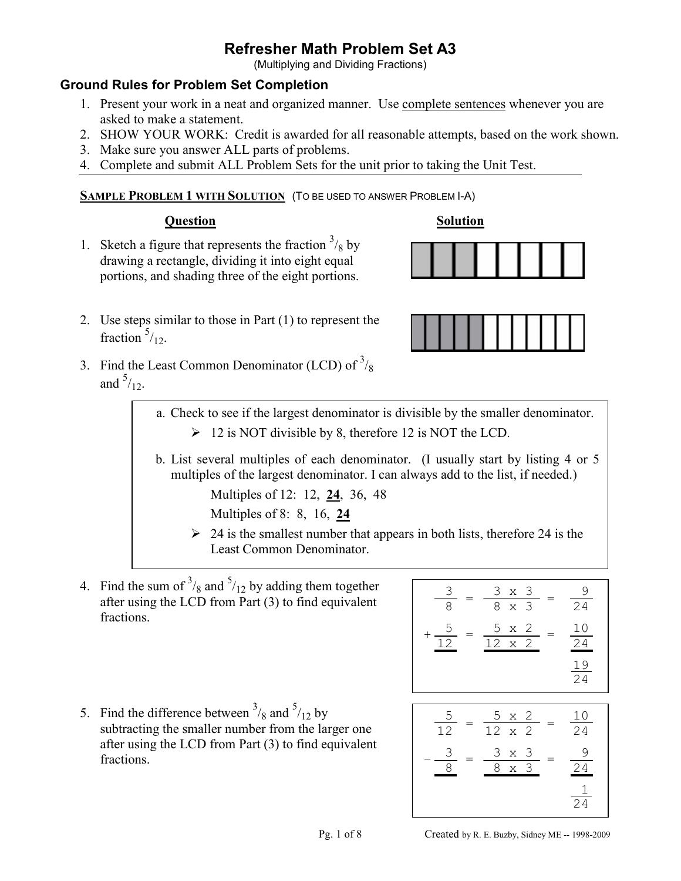(Multiplying and Dividing Fractions)

# **Ground Rules for Problem Set Completion**

- 1. Present your work in a neat and organized manner. Use complete sentences whenever you are asked to make a statement.
- 2. SHOW YOUR WORK: Credit is awarded for all reasonable attempts, based on the work shown.
- 3. Make sure you answer ALL parts of problems.
- 4. Complete and submit ALL Problem Sets for the unit prior to taking the Unit Test.

## **SAMPLE PROBLEM 1 WITH SOLUTION** (TO BE USED TO ANSWER PROBLEM I-A)

**Question Solution**

1. Sketch a figure that represents the fraction  $\frac{3}{8}$  by drawing a rectangle, dividing it into eight equal portions, and shading three of the eight portions.



- 2. Use steps similar to those in Part (1) to represent the fraction  $\frac{5}{12}$ .
- 3. Find the Least Common Denominator (LCD) of  $3/8$ and  $\frac{5}{12}$ .

a. Check to see if the largest denominator is divisible by the smaller denominator.

- $\geq 12$  is NOT divisible by 8, therefore 12 is NOT the LCD.
- b. List several multiples of each denominator. (I usually start by listing 4 or 5 multiples of the largest denominator. I can always add to the list, if needed.)

Multiples of 12: 12, **24**, 36, 48

Multiples of 8: 8, 16, **24**

- $\geq$  24 is the smallest number that appears in both lists, therefore 24 is the Least Common Denominator.
- 4. Find the sum of  $\frac{3}{8}$  and  $\frac{5}{12}$  by adding them together after using the LCD from Part (3) to find equivalent fractions.

$$
\frac{3}{8} = \frac{3 \times 3}{8 \times 3} = \frac{9}{24}
$$

$$
+\frac{5}{12} = \frac{5 \times 2}{12 \times 2} = \frac{10}{24}
$$

$$
\frac{19}{24}
$$

5. Find the difference between  $\frac{3}{8}$  and  $\frac{5}{12}$  by subtracting the smaller number from the larger one after using the LCD from Part (3) to find equivalent fractions.

$$
\frac{5}{12} = \frac{5 \times 2}{12 \times 2} = \frac{10}{24}
$$

$$
-\frac{3}{8} = \frac{3 \times 3}{8 \times 3} = \frac{9}{24}
$$

$$
\frac{1}{24}
$$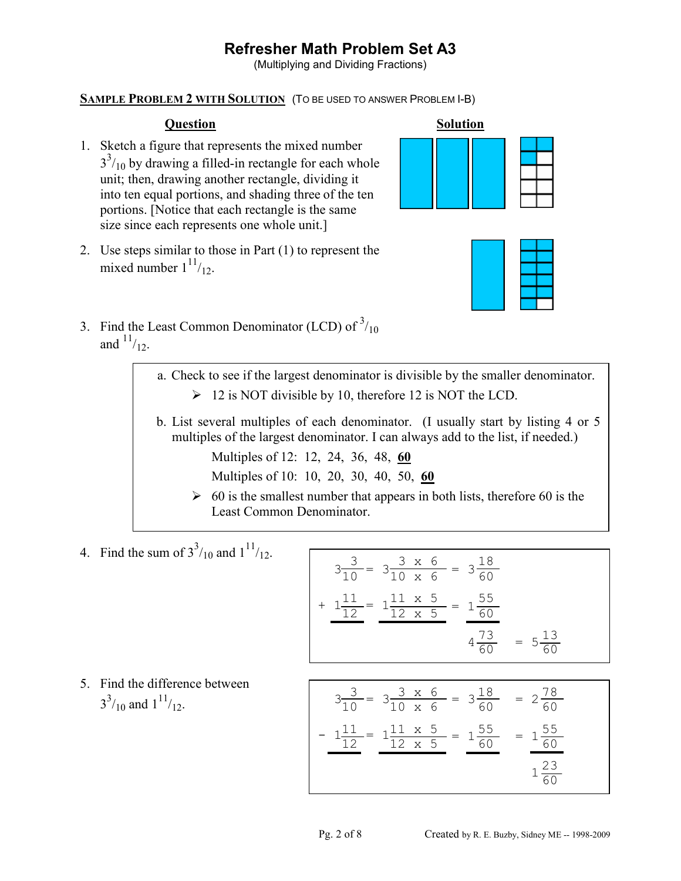(Multiplying and Dividing Fractions)

## **SAMPLE PROBLEM 2 WITH SOLUTION** (TO BE USED TO ANSWER PROBLEM I-B)

- 1. Sketch a figure that represents the mixed number  $3<sup>3</sup>/10$  by drawing a filled-in rectangle for each whole unit; then, drawing another rectangle, dividing it into ten equal portions, and shading three of the ten portions. [Notice that each rectangle is the same size since each represents one whole unit.]
- 2. Use steps similar to those in Part (1) to represent the mixed number  $1^{11}/12$ .





3. Find the Least Common Denominator (LCD) of  $3/10$ and  $11/12$ .

> a. Check to see if the largest denominator is divisible by the smaller denominator.  $\geq 12$  is NOT divisible by 10, therefore 12 is NOT the LCD.

 b. List several multiples of each denominator. (I usually start by listing 4 or 5 multiples of the largest denominator. I can always add to the list, if needed.)

Multiples of 12: 12, 24, 36, 48, **60**

Multiples of 10: 10, 20, 30, 40, 50, **60**

- $\geq 60$  is the smallest number that appears in both lists, therefore 60 is the Least Common Denominator.
- 4. Find the sum of  $3^{3}/_{10}$  and  $1^{11}/_{12}$ .

$$
3\frac{3}{10} = 3\frac{3 \times 6}{10 \times 6} = 3\frac{18}{60}
$$
  
+ 
$$
1\frac{11}{12} = 1\frac{11 \times 5}{12 \times 5} = 1\frac{55}{60}
$$
  

$$
4\frac{73}{60} = 5\frac{13}{60}
$$

 5. Find the difference between  $3^{3}/_{10}$  and  $1^{11}/_{12}$ .

$$
3\frac{3}{10} = 3\frac{3 \times 6}{10 \times 6} = 3\frac{18}{60} = 2\frac{78}{60}
$$

$$
-1\frac{11}{12} = 1\frac{11 \times 5}{12 \times 5} = 1\frac{55}{60} = 1\frac{55}{60}
$$

$$
1\frac{23}{60}
$$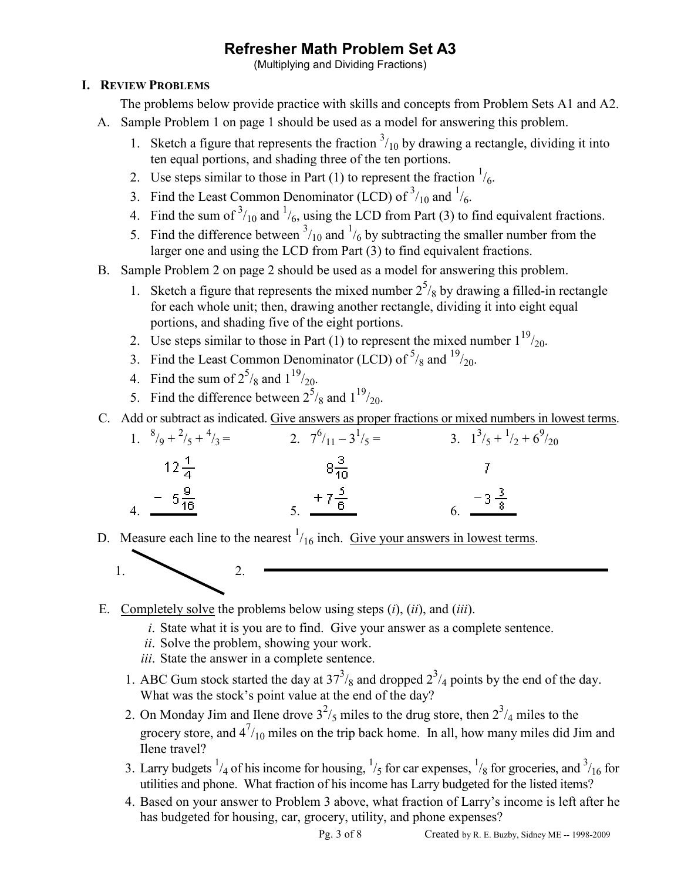(Multiplying and Dividing Fractions)

# **I. REVIEW PROBLEMS**

The problems below provide practice with skills and concepts from Problem Sets A1 and A2.

- A. Sample Problem 1 on page 1 should be used as a model for answering this problem.
	- 1. Sketch a figure that represents the fraction  $\frac{3}{10}$  by drawing a rectangle, dividing it into ten equal portions, and shading three of the ten portions.
	- 2. Use steps similar to those in Part (1) to represent the fraction  $\frac{1}{6}$ .
	- 3. Find the Least Common Denominator (LCD) of  $3/10$  and  $1/6$ .
	- 4. Find the sum of  $\frac{3}{10}$  and  $\frac{1}{6}$ , using the LCD from Part (3) to find equivalent fractions.
	- 5. Find the difference between  $\frac{3}{10}$  and  $\frac{1}{6}$  by subtracting the smaller number from the larger one and using the LCD from Part (3) to find equivalent fractions.
- B. Sample Problem 2 on page 2 should be used as a model for answering this problem.
	- 1. Sketch a figure that represents the mixed number  $2^5$ /<sub>8</sub> by drawing a filled-in rectangle for each whole unit; then, drawing another rectangle, dividing it into eight equal portions, and shading five of the eight portions.
		- 2. Use steps similar to those in Part (1) to represent the mixed number  $1^{19}/_{20}$ .
	- 3. Find the Least Common Denominator (LCD) of  $\frac{5}{8}$  and  $\frac{19}{20}$ .
	- 4. Find the sum of  $2^{5}/_8$  and  $1^{19}/_{20}$ .
	- 5. Find the difference between  $2^5$ /<sub>8</sub> and  $1^{19}$ /<sub>20</sub>.
- C. Add or subtract as indicated. Give answers as proper fractions or mixed numbers in lowest terms.

| 1. $\frac{8}{9} + \frac{2}{5} + \frac{4}{3} =$ | 2. $7^6/11-3^1/5=$      | 3. $1^3/5 + \frac{1}{2} + 6^9/20$ |
|------------------------------------------------|-------------------------|-----------------------------------|
| $12\frac{1}{4}$                                | $8\frac{3}{10}$         |                                   |
| $4. \frac{-5\frac{9}{16}}{2}$                  | $rac{+7\frac{5}{6}}{5}$ | 6. $\frac{-3\frac{3}{8}}{1}$      |

D. Measure each line to the nearest  $\frac{1}{16}$  inch. Give your answers in lowest terms.



- E. Completely solve the problems below using steps (*i*), (*ii*), and (*iii*).
	- *i*. State what it is you are to find. Give your answer as a complete sentence.
	- *ii*. Solve the problem, showing your work.
	- *iii*. State the answer in a complete sentence.
	- 1. ABC Gum stock started the day at  $37<sup>3</sup>/8$  and dropped  $2<sup>3</sup>/4$  points by the end of the day. What was the stock's point value at the end of the day?
	- 2. On Monday Jim and Ilene drove  $3^2$ /<sub>5</sub> miles to the drug store, then  $2^3$ /<sub>4</sub> miles to the grocery store, and  $4^{7}/_{10}$  miles on the trip back home. In all, how many miles did Jim and Ilene travel?
	- 3. Larry budgets  $\frac{1}{4}$  of his income for housing,  $\frac{1}{5}$  for car expenses,  $\frac{1}{8}$  for groceries, and  $\frac{3}{16}$  for utilities and phone. What fraction of his income has Larry budgeted for the listed items?
		- 4. Based on your answer to Problem 3 above, what fraction of Larry's income is left after he has budgeted for housing, car, grocery, utility, and phone expenses?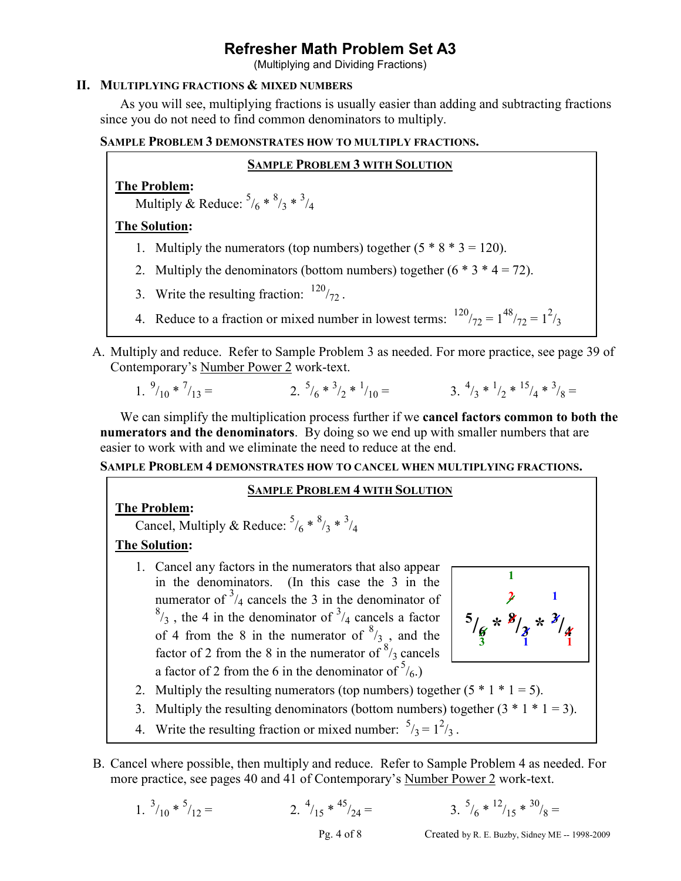(Multiplying and Dividing Fractions)

## **II. MULTIPLYING FRACTIONS & MIXED NUMBERS**

As you will see, multiplying fractions is usually easier than adding and subtracting fractions since you do not need to find common denominators to multiply.

## **SAMPLE PROBLEM 3 DEMONSTRATES HOW TO MULTIPLY FRACTIONS.**

#### **SAMPLE PROBLEM 3 WITH SOLUTION**

**The Problem:** 

Multiply & Reduce:  $\frac{5}{6}$  \*  $\frac{8}{3}$  \*  $\frac{3}{4}$ 

**The Solution:** 

- 1. Multiply the numerators (top numbers) together  $(5 * 8 * 3 = 120)$ .
- 2. Multiply the denominators (bottom numbers) together  $(6 * 3 * 4 = 72)$ .
- 3. Write the resulting fraction:  $120/72$ .
- 4. Reduce to a fraction or mixed number in lowest terms:  $120<sub>/72</sub> = 1<sup>48</sup>/<sub>72</sub> = 1<sup>2</sup>/<sub>3</sub>$
- A. Multiply and reduce. Refer to Sample Problem 3 as needed. For more practice, see page 39 of Contemporary's Number Power 2 work-text.

1. 
$$
{}^{9}/_{10} * {}^{7}/_{13} =
$$
  
2.  ${}^{5}/_{6} * {}^{3}/_{2} * {}^{1}/_{10} =$   
3.  ${}^{4}/_{3} * {}^{1}/_{2} * {}^{15}/_{4} * {}^{3}/_{8} =$ 

We can simplify the multiplication process further if we **cancel factors common to both the numerators and the denominators**. By doing so we end up with smaller numbers that are easier to work with and we eliminate the need to reduce at the end.

**SAMPLE PROBLEM 4 DEMONSTRATES HOW TO CANCEL WHEN MULTIPLYING FRACTIONS.**

#### **SAMPLE PROBLEM 4 WITH SOLUTION**

# **The Problem:**

Cancel, Multiply & Reduce:  $\frac{5}{6}$  \*  $\frac{8}{3}$  \*  $\frac{3}{4}$ 

# **The Solution:**

1. Cancel any factors in the numerators that also appear in the denominators. (In this case the 3 in the numerator of  $\frac{3}{4}$  cancels the 3 in the denominator of  $^{8}/_3$ , the 4 in the denominator of  $^{3}/_4$  cancels a factor of 4 from the 8 in the numerator of  $\frac{8}{3}$ , and the factor of 2 from the 8 in the numerator of  $\frac{8}{3}$  cancels a factor of 2 from the 6 in the denominator of  $\frac{5}{6}$ .



- 2. Multiply the resulting numerators (top numbers) together  $(5 * 1 * 1 = 5)$ .
- 3. Multiply the resulting denominators (bottom numbers) together  $(3 * 1 * 1 = 3)$ .
- 4. Write the resulting fraction or mixed number:  $\frac{5}{3} = 1^2/3$ .
- B. Cancel where possible, then multiply and reduce. Refer to Sample Problem 4 as needed. For more practice, see pages 40 and 41 of Contemporary's Number Power 2 work-text.

1. 
$$
{}^{3}/_{10} * {}^{5}/_{12} =
$$
 2.  ${}^{4}/_{15} * {}^{45}/_{24} =$  3.  ${}^{5}$ 

3. 
$$
5/6 * 12/15 * 30/8 =
$$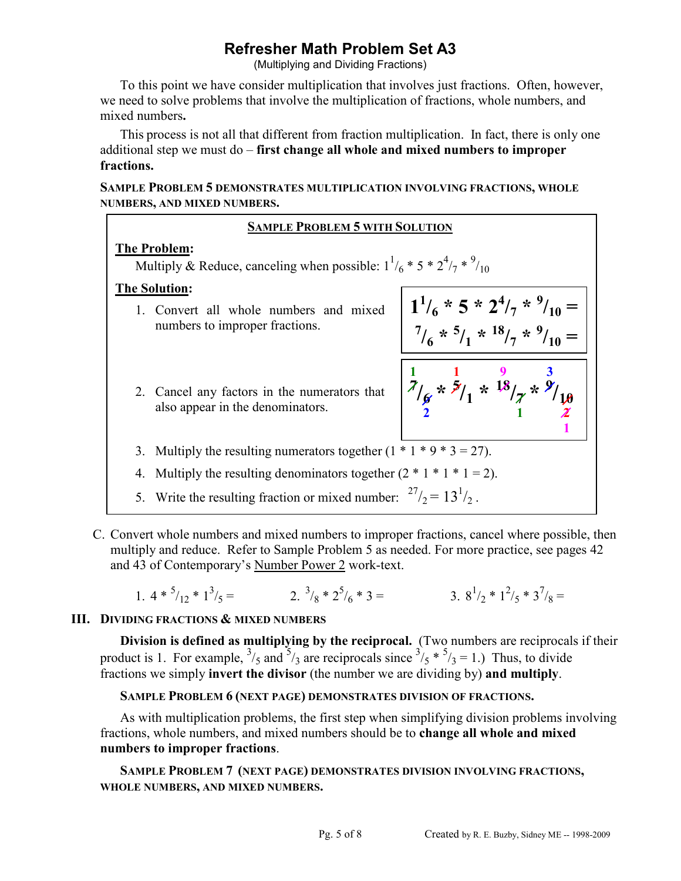(Multiplying and Dividing Fractions)

To this point we have consider multiplication that involves just fractions. Often, however, we need to solve problems that involve the multiplication of fractions, whole numbers, and mixed numbers**.** 

This process is not all that different from fraction multiplication. In fact, there is only one additional step we must do – **first change all whole and mixed numbers to improper fractions.**

**SAMPLE PROBLEM 5 DEMONSTRATES MULTIPLICATION INVOLVING FRACTIONS, WHOLE NUMBERS, AND MIXED NUMBERS.**

# **SAMPLE PROBLEM 5 WITH SOLUTION**

## **The Problem:**

Multiply & Reduce, canceling when possible:  $1^{1/6}$  \* 5 \*  $2^{4/7}$  \*  $9/10$ 

## **The Solution:**

- 1. Convert all whole numbers and mixed numbers to improper fractions.
- 2. Cancel any factors in the numerators that also appear in the denominators.
- $1^{1/6}$  \* 5 \*  $2^{4/7}$  \*  $9/10 =$  $\frac{7}{6}$  \*  $\frac{5}{1}$  \*  $\frac{18}{7}$  \*  $\frac{9}{10}$  = **1 1 9 3**  $\frac{7}{8}$  $\times$   $\frac{5}{1}$ **1x**  $\frac{18}{7}$ **x**  $\frac{9}{10}$ **2** 1  $\chi$

**1** 

- 3. Multiply the resulting numerators together  $(1 * 1 * 9 * 3 = 27)$ .
- 4. Multiply the resulting denominators together  $(2 * 1 * 1 * 1 = 2)$ .
- 5. Write the resulting fraction or mixed number:  $27/2 = 13^{1/2}$ .
- C. Convert whole numbers and mixed numbers to improper fractions, cancel where possible, then multiply and reduce. Refer to Sample Problem 5 as needed. For more practice, see pages 42 and 43 of Contemporary's Number Power 2 work-text.

1. 
$$
4 * {^5}/_{12} * 1^3 /_5 =
$$
  
2.  ${}^3}/_8 * 2^5 /_6 * 3 =$   
3.  $8^1 /_2 * 1^2 /_5 * 3^7 /_8 =$ 

# **III. DIVIDING FRACTIONS & MIXED NUMBERS**

**Division is defined as multiplying by the reciprocal.** (Two numbers are reciprocals if their product is 1. For example,  $\frac{3}{5}$  and  $\frac{5}{3}$  are reciprocals since  $\frac{3}{5}$  \*  $\frac{5}{3}$  = 1.) Thus, to divide fractions we simply **invert the divisor** (the number we are dividing by) **and multiply**.

# **SAMPLE PROBLEM 6 (NEXT PAGE) DEMONSTRATES DIVISION OF FRACTIONS.**

As with multiplication problems, the first step when simplifying division problems involving fractions, whole numbers, and mixed numbers should be to **change all whole and mixed numbers to improper fractions**.

**SAMPLE PROBLEM 7 (NEXT PAGE) DEMONSTRATES DIVISION INVOLVING FRACTIONS, WHOLE NUMBERS, AND MIXED NUMBERS.**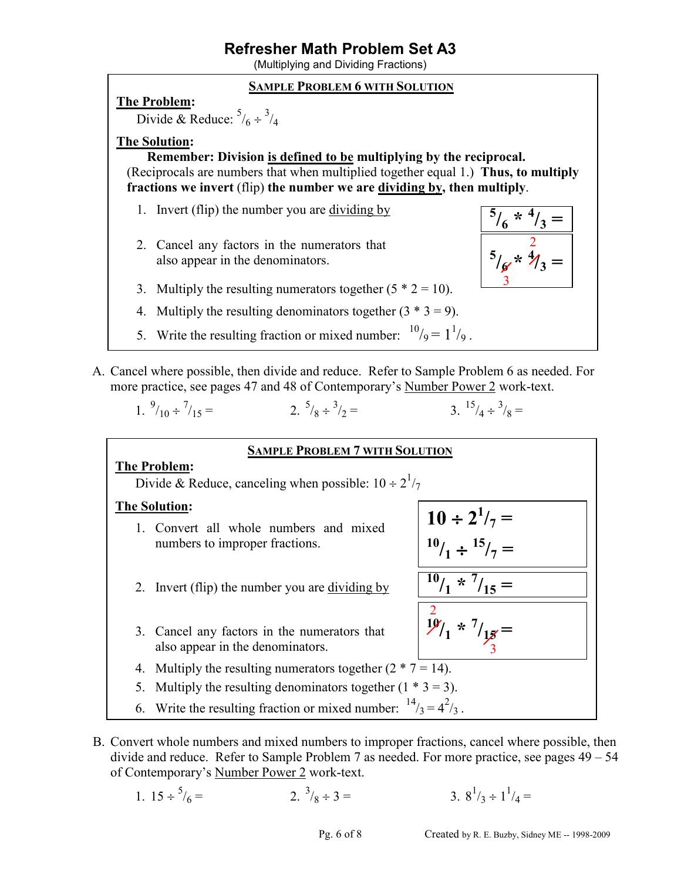(Multiplying and Dividing Fractions)

### **SAMPLE PROBLEM 6 WITH SOLUTION**

#### **The Problem:**

Divide & Reduce:  $\frac{5}{6} \div \frac{3}{4}$ 

## **The Solution:**

**Remember: Division is defined to be multiplying by the reciprocal.** (Reciprocals are numbers that when multiplied together equal 1.) **Thus, to multiply fractions we invert** (flip) **the number we are dividing by, then multiply**.

- 1. Invert (flip) the number you are dividing by
- 2. Cancel any factors in the numerators that also appear in the denominators.



- 3. Multiply the resulting numerators together  $(5 * 2 = 10)$ .
- 4. Multiply the resulting denominators together  $(3 * 3 = 9)$ .
- 5. Write the resulting fraction or mixed number:  $\frac{10}{9} = 1\frac{1}{9}$ .
- A. Cancel where possible, then divide and reduce. Refer to Sample Problem 6 as needed. For more practice, see pages 47 and 48 of Contemporary's Number Power 2 work-text.

1.  $\frac{9}{10} \div \frac{7}{1}$  $/_{15} =$  2.  $^{5}/_8 \div ^3$  $\gamma_2 =$  3.  $\frac{15}{4} \div \frac{3}{8} =$ 

#### **SAMPLE PROBLEM 7 WITH SOLUTION**

#### **The Problem:**

Divide & Reduce, canceling when possible:  $10 \div 2^1/\gamma$ 

#### **The Solution:**

- 1. Convert all whole numbers and mixed numbers to improper fractions.
- 2. Invert (flip) the number you are dividing by
- 3. Cancel any factors in the numerators that also appear in the denominators.
- 4. Multiply the resulting numerators together  $(2 * 7 = 14)$ .
- 5. Multiply the resulting denominators together  $(1 * 3 = 3)$ .

6. Write the resulting fraction or mixed number:  $14/3 = 4^2/3$ .

- B. Convert whole numbers and mixed numbers to improper fractions, cancel where possible, then divide and reduce. Refer to Sample Problem 7 as needed. For more practice, see pages 49 – 54 of Contemporary's Number Power 2 work-text.
	- 1.  $15 \div 5$  $/6 =$  2.  $\frac{3}{8} \div 3 =$  3. 8<sup>1</sup>  $/_3 \div 1^1/_4 =$

 $10 \div 2^1/\frac{1}{7} =$ 

 $10$ <sup> $\frac{1}{2}$ </sup> $\div$   $15$ <sup> $\frac{1}{7}$ </sup> =

 $^{10}/_{1}$  \*  $^{7}/_{15}$  =

 $\frac{10}{1}$  \*  $\frac{7}{15}$  =  $\sim$  3

2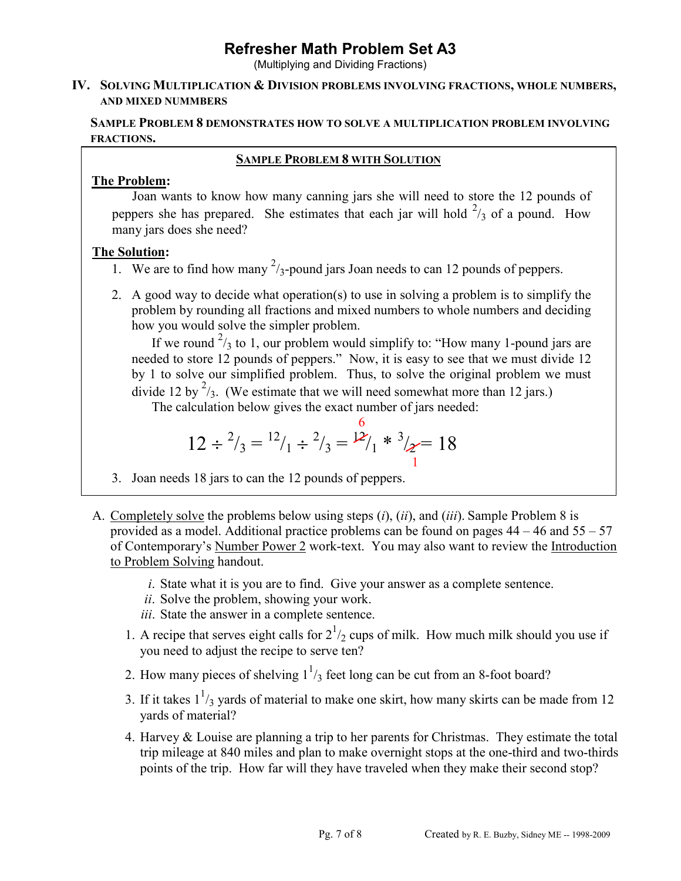(Multiplying and Dividing Fractions)

#### **IV. SOLVING MULTIPLICATION & DIVISION PROBLEMS INVOLVING FRACTIONS, WHOLE NUMBERS, AND MIXED NUMMBERS**

## **SAMPLE PROBLEM 8 DEMONSTRATES HOW TO SOLVE A MULTIPLICATION PROBLEM INVOLVING FRACTIONS.**

## **SAMPLE PROBLEM 8 WITH SOLUTION**

# **The Problem:**

Joan wants to know how many canning jars she will need to store the 12 pounds of peppers she has prepared. She estimates that each jar will hold  $\frac{2}{3}$  of a pound. How many jars does she need?

# **The Solution:**

- 1. We are to find how many  $\frac{2}{3}$ -pound jars Joan needs to can 12 pounds of peppers.
- 2. A good way to decide what operation(s) to use in solving a problem is to simplify the problem by rounding all fractions and mixed numbers to whole numbers and deciding how you would solve the simpler problem.

If we round  $\frac{2}{3}$  to 1, our problem would simplify to: "How many 1-pound jars are needed to store 12 pounds of peppers." Now, it is easy to see that we must divide 12 by 1 to solve our simplified problem. Thus, to solve the original problem we must divide 12 by  $\frac{2}{3}$ . (We estimate that we will need somewhat more than 12 jars.)

The calculation below gives the exact number of jars needed:

$$
12 \div \frac{2}{3} = \frac{12}{1} \div \frac{2}{3} = \frac{12}{1} \times \frac{3}{2} = 18
$$

- 3. Joan needs 18 jars to can the 12 pounds of peppers.
- A. Completely solve the problems below using steps (*i*), (*ii*), and (*iii*). Sample Problem 8 is provided as a model. Additional practice problems can be found on pages  $44 - 46$  and  $55 - 57$ of Contemporary's Number Power 2 work-text. You may also want to review the Introduction to Problem Solving handout.
	- *i*. State what it is you are to find. Give your answer as a complete sentence.
	- *ii*. Solve the problem, showing your work.
	- *iii*. State the answer in a complete sentence.
	- 1. A recipe that serves eight calls for  $2^{1/2}$  cups of milk. How much milk should you use if you need to adjust the recipe to serve ten?
	- 2. How many pieces of shelving  $1^{1/3}$  feet long can be cut from an 8-foot board?
	- 3. If it takes  $1^{1/3}$  yards of material to make one skirt, how many skirts can be made from 12 yards of material?
		- 4. Harvey & Louise are planning a trip to her parents for Christmas. They estimate the total trip mileage at 840 miles and plan to make overnight stops at the one-third and two-thirds points of the trip. How far will they have traveled when they make their second stop?